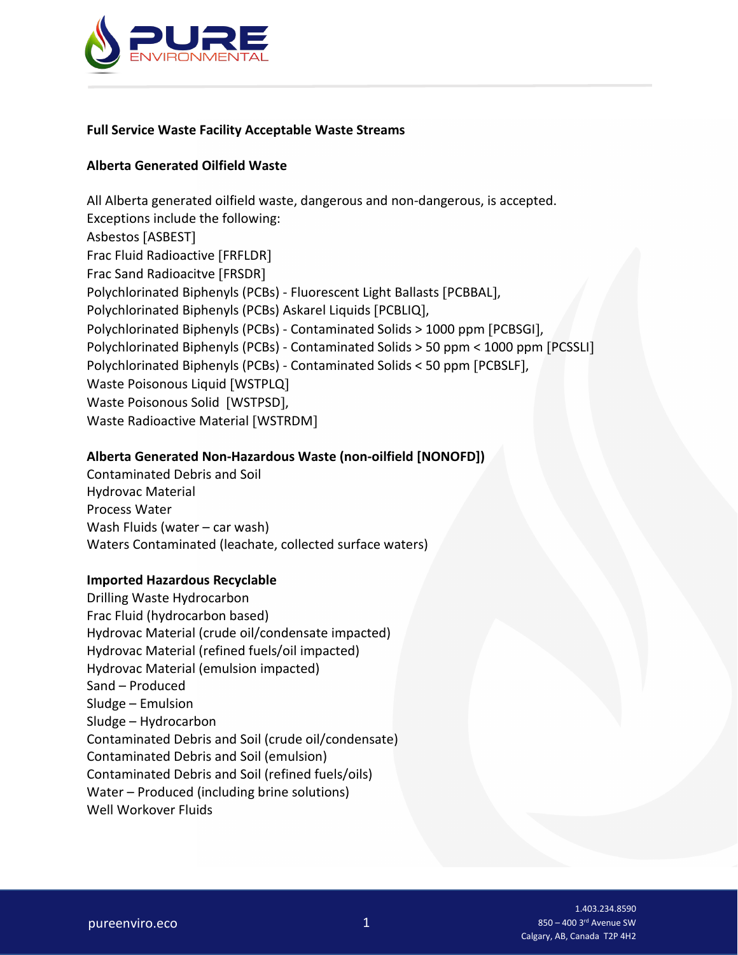

## **Full Service Waste Facility Acceptable Waste Streams**

## **Alberta Generated Oilfield Waste**

All Alberta generated oilfield waste, dangerous and non-dangerous, is accepted. Exceptions include the following: Asbestos [ASBEST] Frac Fluid Radioactive [FRFLDR] Frac Sand Radioacitve [FRSDR] Polychlorinated Biphenyls (PCBs) - Fluorescent Light Ballasts [PCBBAL], Polychlorinated Biphenyls (PCBs) Askarel Liquids [PCBLIQ], Polychlorinated Biphenyls (PCBs) - Contaminated Solids > 1000 ppm [PCBSGI], Polychlorinated Biphenyls (PCBs) - Contaminated Solids > 50 ppm < 1000 ppm [PCSSLI] Polychlorinated Biphenyls (PCBs) - Contaminated Solids < 50 ppm [PCBSLF], Waste Poisonous Liquid [WSTPLQ] Waste Poisonous Solid [WSTPSD], Waste Radioactive Material [WSTRDM]

# **Alberta Generated Non-Hazardous Waste (non-oilfield [NONOFD])**

Contaminated Debris and Soil Hydrovac Material Process Water Wash Fluids (water – car wash) Waters Contaminated (leachate, collected surface waters)

#### **Imported Hazardous Recyclable**

Drilling Waste Hydrocarbon Frac Fluid (hydrocarbon based) Hydrovac Material (crude oil/condensate impacted) Hydrovac Material (refined fuels/oil impacted) Hydrovac Material (emulsion impacted) Sand – Produced Sludge – Emulsion Sludge – Hydrocarbon Contaminated Debris and Soil (crude oil/condensate) Contaminated Debris and Soil (emulsion) Contaminated Debris and Soil (refined fuels/oils) Water – Produced (including brine solutions) Well Workover Fluids